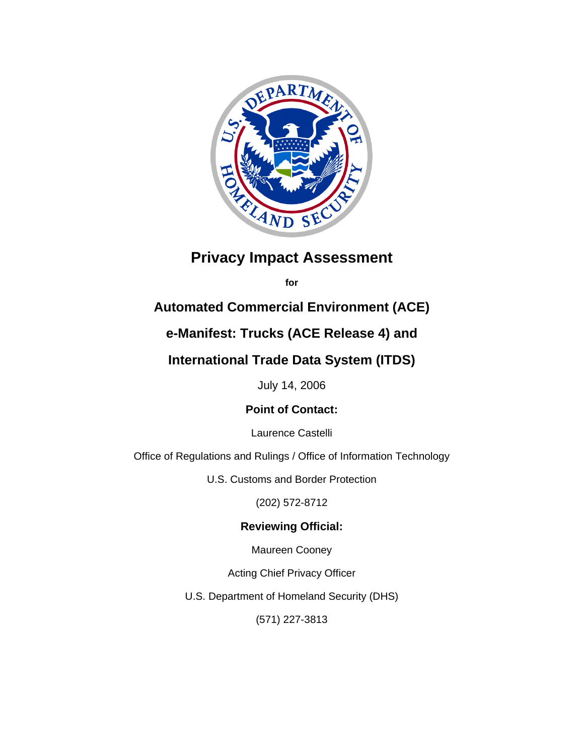

# **Privacy Impact Assessment**

**for** 

# **Automated Commercial Environment (ACE)**

# **e-Manifest: Trucks (ACE Release 4) and**

# **International Trade Data System (ITDS)**

July 14, 2006

# **Point of Contact:**

Laurence Castelli

Office of Regulations and Rulings / Office of Information Technology

U.S. Customs and Border Protection

(202) 572-8712

# **Reviewing Official:**

Maureen Cooney

Acting Chief Privacy Officer

U.S. Department of Homeland Security (DHS)

(571) 227-3813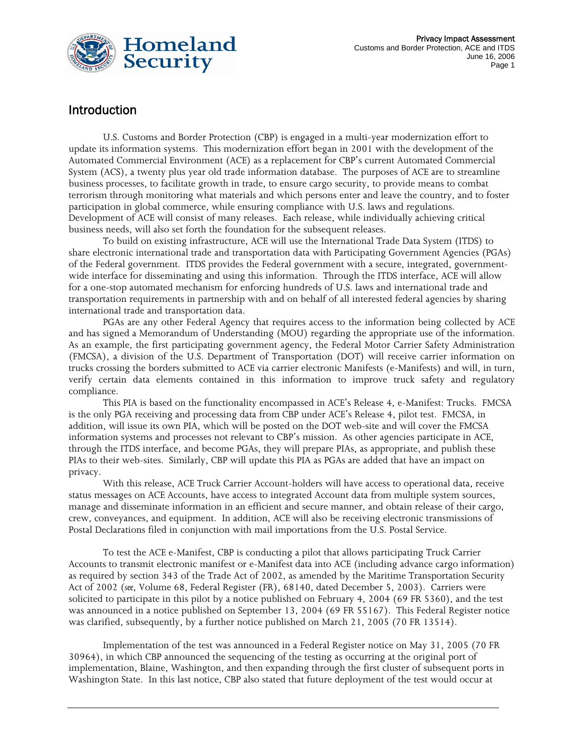

# Introduction

U.S. Customs and Border Protection (CBP) is engaged in a multi-year modernization effort to update its information systems. This modernization effort began in 2001 with the development of the Automated Commercial Environment (ACE) as a replacement for CBP's current Automated Commercial System (ACS), a twenty plus year old trade information database. The purposes of ACE are to streamline business processes, to facilitate growth in trade, to ensure cargo security, to provide means to combat terrorism through monitoring what materials and which persons enter and leave the country, and to foster participation in global commerce, while ensuring compliance with U.S. laws and regulations. Development of ACE will consist of many releases. Each release, while individually achieving critical business needs, will also set forth the foundation for the subsequent releases.

 To build on existing infrastructure, ACE will use the International Trade Data System (ITDS) to share electronic international trade and transportation data with Participating Government Agencies (PGAs) of the Federal government. ITDS provides the Federal government with a secure, integrated, governmentwide interface for disseminating and using this information. Through the ITDS interface, ACE will allow for a one-stop automated mechanism for enforcing hundreds of U.S. laws and international trade and transportation requirements in partnership with and on behalf of all interested federal agencies by sharing international trade and transportation data.

PGAs are any other Federal Agency that requires access to the information being collected by ACE and has signed a Memorandum of Understanding (MOU) regarding the appropriate use of the information. As an example, the first participating government agency, the Federal Motor Carrier Safety Administration (FMCSA), a division of the U.S. Department of Transportation (DOT) will receive carrier information on trucks crossing the borders submitted to ACE via carrier electronic Manifests (e-Manifests) and will, in turn, verify certain data elements contained in this information to improve truck safety and regulatory compliance.

This PIA is based on the functionality encompassed in ACE's Release 4, e-Manifest: Trucks. FMCSA is the only PGA receiving and processing data from CBP under ACE's Release 4, pilot test. FMCSA, in addition, will issue its own PIA, which will be posted on the DOT web-site and will cover the FMCSA information systems and processes not relevant to CBP's mission. As other agencies participate in ACE, through the ITDS interface, and become PGAs, they will prepare PIAs, as appropriate, and publish these PIAs to their web-sites. Similarly, CBP will update this PIA as PGAs are added that have an impact on privacy.

With this release, ACE Truck Carrier Account-holders will have access to operational data, receive status messages on ACE Accounts, have access to integrated Account data from multiple system sources, manage and disseminate information in an efficient and secure manner, and obtain release of their cargo, crew, conveyances, and equipment. In addition, ACE will also be receiving electronic transmissions of Postal Declarations filed in conjunction with mail importations from the U.S. Postal Service.

To test the ACE e-Manifest, CBP is conducting a pilot that allows participating Truck Carrier Accounts to transmit electronic manifest or e-Manifest data into ACE (including advance cargo information) as required by section 343 of the Trade Act of 2002, as amended by the Maritime Transportation Security Act of 2002 (*see*, Volume 68, Federal Register (FR), 68140, dated December 5, 2003). Carriers were solicited to participate in this pilot by a notice published on February 4, 2004 (69 FR 5360), and the test was announced in a notice published on September 13, 2004 (69 FR 55167). This Federal Register notice was clarified, subsequently, by a further notice published on March 21, 2005 (70 FR 13514).

Implementation of the test was announced in a Federal Register notice on May 31, 2005 (70 FR 30964), in which CBP announced the sequencing of the testing as occurring at the original port of implementation, Blaine, Washington, and then expanding through the first cluster of subsequent ports in Washington State. In this last notice, CBP also stated that future deployment of the test would occur at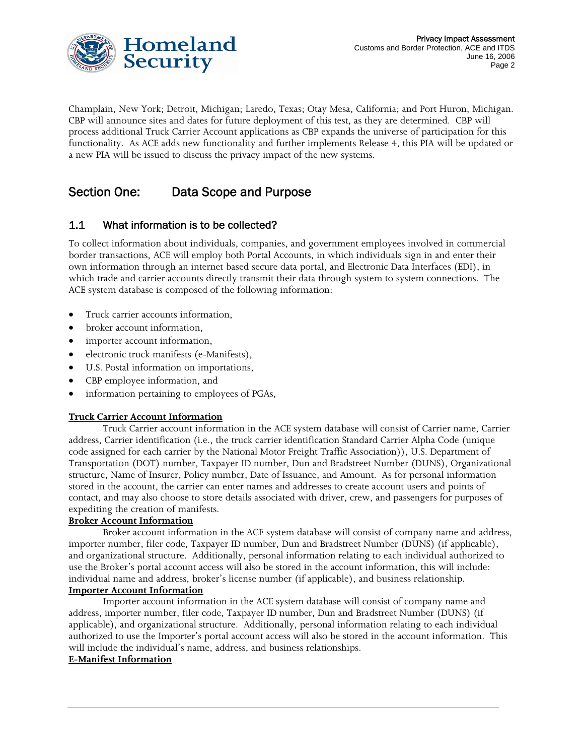

Champlain, New York; Detroit, Michigan; Laredo, Texas; Otay Mesa, California; and Port Huron, Michigan. CBP will announce sites and dates for future deployment of this test, as they are determined. CBP will process additional Truck Carrier Account applications as CBP expands the universe of participation for this functionality. As ACE adds new functionality and further implements Release 4, this PIA will be updated or a new PIA will be issued to discuss the privacy impact of the new systems.

# Section One: Data Scope and Purpose

# 1.1 What information is to be collected?

To collect information about individuals, companies, and government employees involved in commercial border transactions, ACE will employ both Portal Accounts, in which individuals sign in and enter their own information through an internet based secure data portal, and Electronic Data Interfaces (EDI), in which trade and carrier accounts directly transmit their data through system to system connections. The ACE system database is composed of the following information:

- Truck carrier accounts information,
- broker account information.
- importer account information,
- electronic truck manifests (e-Manifests),
- U.S. Postal information on importations,
- CBP employee information, and
- information pertaining to employees of PGAs,

#### **Truck Carrier Account Information**

Truck Carrier account information in the ACE system database will consist of Carrier name, Carrier address, Carrier identification (i.e., the truck carrier identification Standard Carrier Alpha Code (unique code assigned for each carrier by the National Motor Freight Traffic Association)), U.S. Department of Transportation (DOT) number, Taxpayer ID number, Dun and Bradstreet Number (DUNS), Organizational structure, Name of Insurer, Policy number, Date of Issuance, and Amount. As for personal information stored in the account, the carrier can enter names and addresses to create account users and points of contact, and may also choose to store details associated with driver, crew, and passengers for purposes of expediting the creation of manifests.

#### **Broker Account Information**

Broker account information in the ACE system database will consist of company name and address, importer number, filer code, Taxpayer ID number, Dun and Bradstreet Number (DUNS) (if applicable), and organizational structure. Additionally, personal information relating to each individual authorized to use the Broker's portal account access will also be stored in the account information, this will include: individual name and address, broker's license number (if applicable), and business relationship.

#### **Importer Account Information**

Importer account information in the ACE system database will consist of company name and address, importer number, filer code, Taxpayer ID number, Dun and Bradstreet Number (DUNS) (if applicable), and organizational structure. Additionally, personal information relating to each individual authorized to use the Importer's portal account access will also be stored in the account information. This will include the individual's name, address, and business relationships.

#### **E-Manifest Information**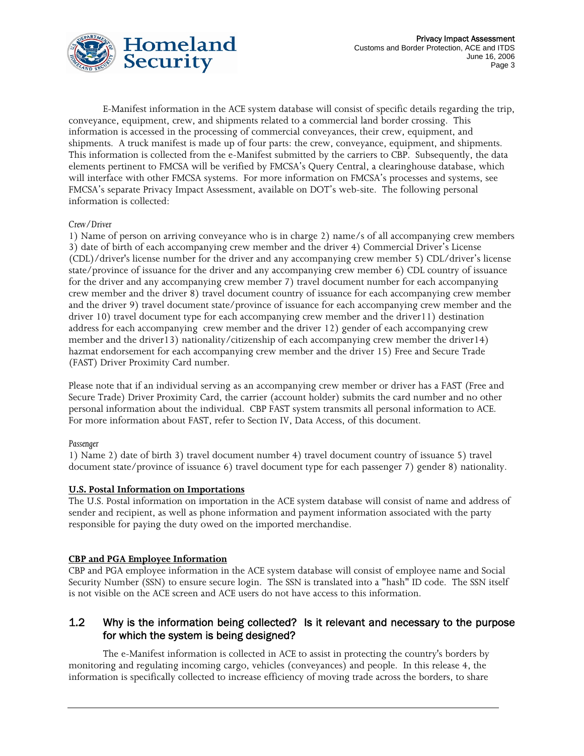

E-Manifest information in the ACE system database will consist of specific details regarding the trip, conveyance, equipment, crew, and shipments related to a commercial land border crossing. This information is accessed in the processing of commercial conveyances, their crew, equipment, and shipments. A truck manifest is made up of four parts: the crew, conveyance, equipment, and shipments. This information is collected from the e-Manifest submitted by the carriers to CBP. Subsequently, the data elements pertinent to FMCSA will be verified by FMCSA's Query Central, a clearinghouse database, which will interface with other FMCSA systems. For more information on FMCSA's processes and systems, see FMCSA's separate Privacy Impact Assessment, available on DOT's web-site. The following personal information is collected:

#### *Crew/Driver*

1) Name of person on arriving conveyance who is in charge 2) name/s of all accompanying crew members 3) date of birth of each accompanying crew member and the driver 4) Commercial Driver's License (CDL)/driver's license number for the driver and any accompanying crew member 5) CDL/driver's license state/province of issuance for the driver and any accompanying crew member 6) CDL country of issuance for the driver and any accompanying crew member 7) travel document number for each accompanying crew member and the driver 8) travel document country of issuance for each accompanying crew member and the driver 9) travel document state/province of issuance for each accompanying crew member and the driver 10) travel document type for each accompanying crew member and the driver11) destination address for each accompanying crew member and the driver 12) gender of each accompanying crew member and the driver13) nationality/citizenship of each accompanying crew member the driver14) hazmat endorsement for each accompanying crew member and the driver 15) Free and Secure Trade (FAST) Driver Proximity Card number.

Please note that if an individual serving as an accompanying crew member or driver has a FAST (Free and Secure Trade) Driver Proximity Card, the carrier (account holder) submits the card number and no other personal information about the individual. CBP FAST system transmits all personal information to ACE. For more information about FAST, refer to Section IV, Data Access, of this document.

#### *Passenger*

1) Name 2) date of birth 3) travel document number 4) travel document country of issuance 5) travel document state/province of issuance 6) travel document type for each passenger 7) gender 8) nationality.

#### **U.S. Postal Information on Importations**

The U.S. Postal information on importation in the ACE system database will consist of name and address of sender and recipient, as well as phone information and payment information associated with the party responsible for paying the duty owed on the imported merchandise.

#### **CBP and PGA Employee Information**

CBP and PGA employee information in the ACE system database will consist of employee name and Social Security Number (SSN) to ensure secure login. The SSN is translated into a "hash" ID code. The SSN itself is not visible on the ACE screen and ACE users do not have access to this information.

# 1.2 Why is the information being collected? Is it relevant and necessary to the purpose for which the system is being designed?

The e-Manifest information is collected in ACE to assist in protecting the country's borders by monitoring and regulating incoming cargo, vehicles (conveyances) and people. In this release 4, the information is specifically collected to increase efficiency of moving trade across the borders, to share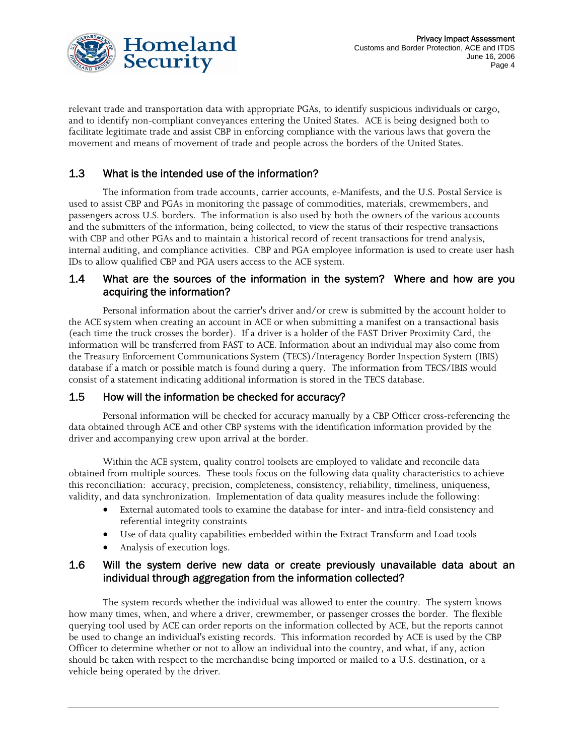

relevant trade and transportation data with appropriate PGAs, to identify suspicious individuals or cargo, and to identify non-compliant conveyances entering the United States. ACE is being designed both to facilitate legitimate trade and assist CBP in enforcing compliance with the various laws that govern the movement and means of movement of trade and people across the borders of the United States.

# 1.3 What is the intended use of the information?

The information from trade accounts, carrier accounts, e-Manifests, and the U.S. Postal Service is used to assist CBP and PGAs in monitoring the passage of commodities, materials, crewmembers, and passengers across U.S. borders. The information is also used by both the owners of the various accounts and the submitters of the information, being collected, to view the status of their respective transactions with CBP and other PGAs and to maintain a historical record of recent transactions for trend analysis, internal auditing, and compliance activities. CBP and PGA employee information is used to create user hash IDs to allow qualified CBP and PGA users access to the ACE system.

# 1.4 What are the sources of the information in the system? Where and how are you acquiring the information?

Personal information about the carrier's driver and/or crew is submitted by the account holder to the ACE system when creating an account in ACE or when submitting a manifest on a transactional basis (each time the truck crosses the border). If a driver is a holder of the FAST Driver Proximity Card, the information will be transferred from FAST to ACE. Information about an individual may also come from the Treasury Enforcement Communications System (TECS)/Interagency Border Inspection System (IBIS) database if a match or possible match is found during a query. The information from TECS/IBIS would consist of a statement indicating additional information is stored in the TECS database.

# 1.5 How will the information be checked for accuracy?

Personal information will be checked for accuracy manually by a CBP Officer cross-referencing the data obtained through ACE and other CBP systems with the identification information provided by the driver and accompanying crew upon arrival at the border.

 Within the ACE system, quality control toolsets are employed to validate and reconcile data obtained from multiple sources. These tools focus on the following data quality characteristics to achieve this reconciliation: accuracy, precision, completeness, consistency, reliability, timeliness, uniqueness, validity, and data synchronization. Implementation of data quality measures include the following:

- External automated tools to examine the database for inter- and intra-field consistency and referential integrity constraints
- Use of data quality capabilities embedded within the Extract Transform and Load tools
- Analysis of execution logs.

# 1.6 Will the system derive new data or create previously unavailable data about an individual through aggregation from the information collected?

The system records whether the individual was allowed to enter the country. The system knows how many times, when, and where a driver, crewmember, or passenger crosses the border. The flexible querying tool used by ACE can order reports on the information collected by ACE, but the reports cannot be used to change an individual's existing records. This information recorded by ACE is used by the CBP Officer to determine whether or not to allow an individual into the country, and what, if any, action should be taken with respect to the merchandise being imported or mailed to a U.S. destination, or a vehicle being operated by the driver.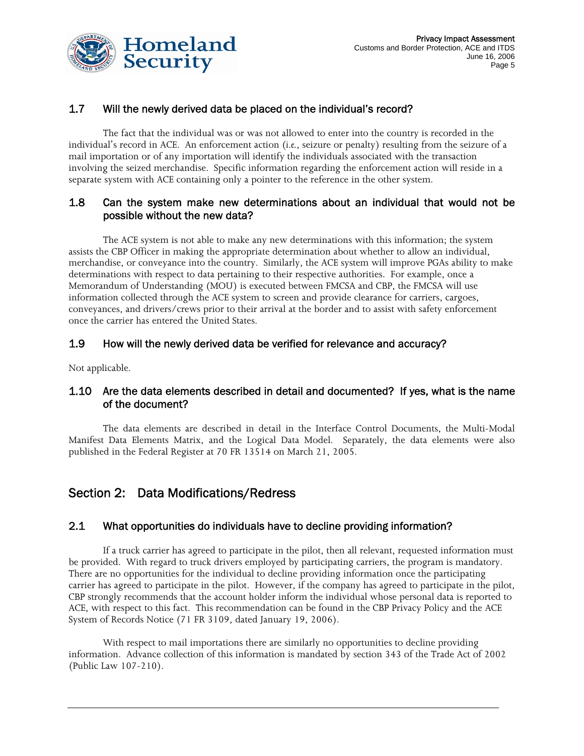



# 1.7 Will the newly derived data be placed on the individual's record?

The fact that the individual was or was not allowed to enter into the country is recorded in the individual's record in ACE. An enforcement action (*i.e.*, seizure or penalty) resulting from the seizure of a mail importation or of any importation will identify the individuals associated with the transaction involving the seized merchandise. Specific information regarding the enforcement action will reside in a separate system with ACE containing only a pointer to the reference in the other system.

# 1.8 Can the system make new determinations about an individual that would not be possible without the new data?

The ACE system is not able to make any new determinations with this information; the system assists the CBP Officer in making the appropriate determination about whether to allow an individual, merchandise, or conveyance into the country. Similarly, the ACE system will improve PGAs ability to make determinations with respect to data pertaining to their respective authorities. For example, once a Memorandum of Understanding (MOU) is executed between FMCSA and CBP, the FMCSA will use information collected through the ACE system to screen and provide clearance for carriers, cargoes, conveyances, and drivers/crews prior to their arrival at the border and to assist with safety enforcement once the carrier has entered the United States.

# 1.9 How will the newly derived data be verified for relevance and accuracy?

Not applicable.

# 1.10 Are the data elements described in detail and documented? If yes, what is the name of the document?

The data elements are described in detail in the Interface Control Documents, the Multi-Modal Manifest Data Elements Matrix, and the Logical Data Model. Separately, the data elements were also published in the Federal Register at 70 FR 13514 on March 21, 2005.

# Section 2: Data Modifications/Redress

# 2.1 What opportunities do individuals have to decline providing information?

If a truck carrier has agreed to participate in the pilot, then all relevant, requested information must be provided. With regard to truck drivers employed by participating carriers, the program is mandatory. There are no opportunities for the individual to decline providing information once the participating carrier has agreed to participate in the pilot. However, if the company has agreed to participate in the pilot, CBP strongly recommends that the account holder inform the individual whose personal data is reported to ACE, with respect to this fact. This recommendation can be found in the CBP Privacy Policy and the ACE System of Records Notice (71 FR 3109, dated January 19, 2006).

With respect to mail importations there are similarly no opportunities to decline providing information. Advance collection of this information is mandated by section 343 of the Trade Act of 2002 (Public Law 107-210).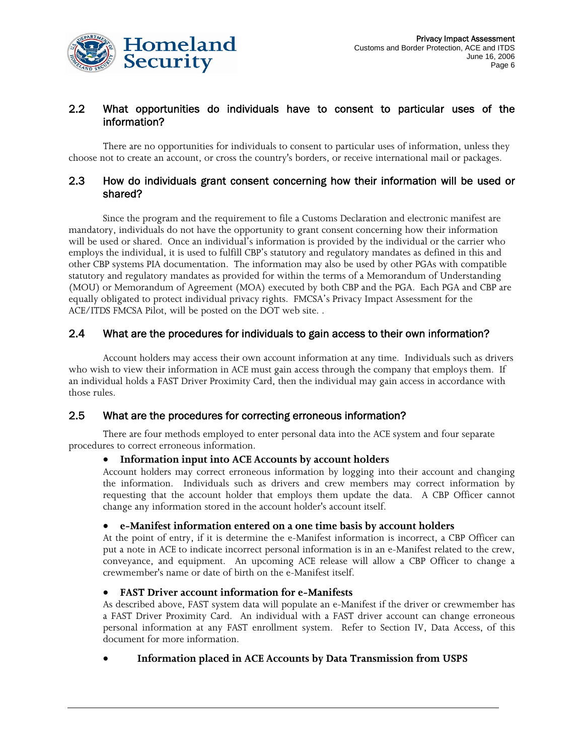

# 2.2 What opportunities do individuals have to consent to particular uses of the information?

There are no opportunities for individuals to consent to particular uses of information, unless they choose not to create an account, or cross the country's borders, or receive international mail or packages.

## 2.3 How do individuals grant consent concerning how their information will be used or shared?

Since the program and the requirement to file a Customs Declaration and electronic manifest are mandatory, individuals do not have the opportunity to grant consent concerning how their information will be used or shared. Once an individual's information is provided by the individual or the carrier who employs the individual, it is used to fulfill CBP's statutory and regulatory mandates as defined in this and other CBP systems PIA documentation. The information may also be used by other PGAs with compatible statutory and regulatory mandates as provided for within the terms of a Memorandum of Understanding (MOU) or Memorandum of Agreement (MOA) executed by both CBP and the PGA. Each PGA and CBP are equally obligated to protect individual privacy rights. FMCSA's Privacy Impact Assessment for the ACE/ITDS FMCSA Pilot, will be posted on the DOT web site. .

# 2.4 What are the procedures for individuals to gain access to their own information?

Account holders may access their own account information at any time. Individuals such as drivers who wish to view their information in ACE must gain access through the company that employs them. If an individual holds a FAST Driver Proximity Card, then the individual may gain access in accordance with those rules.

#### 2.5 What are the procedures for correcting erroneous information?

There are four methods employed to enter personal data into the ACE system and four separate procedures to correct erroneous information.

#### • **Information input into ACE Accounts by account holders**

Account holders may correct erroneous information by logging into their account and changing the information. Individuals such as drivers and crew members may correct information by requesting that the account holder that employs them update the data. A CBP Officer cannot change any information stored in the account holder's account itself.

#### • **e-Manifest information entered on a one time basis by account holders**

At the point of entry, if it is determine the e-Manifest information is incorrect, a CBP Officer can put a note in ACE to indicate incorrect personal information is in an e-Manifest related to the crew, conveyance, and equipment. An upcoming ACE release will allow a CBP Officer to change a crewmember's name or date of birth on the e-Manifest itself.

#### • **FAST Driver account information for e-Manifests**

As described above, FAST system data will populate an e-Manifest if the driver or crewmember has a FAST Driver Proximity Card. An individual with a FAST driver account can change erroneous personal information at any FAST enrollment system. Refer to Section IV, Data Access, of this document for more information.

#### • **Information placed in ACE Accounts by Data Transmission from USPS**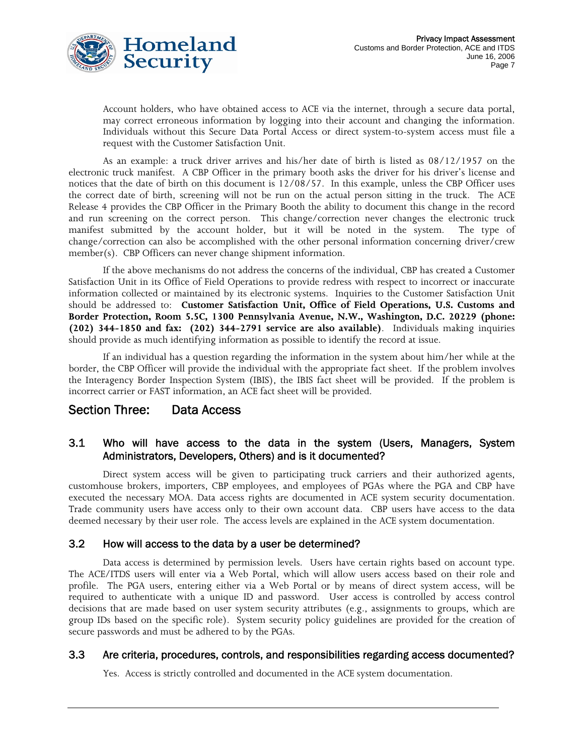

Account holders, who have obtained access to ACE via the internet, through a secure data portal, may correct erroneous information by logging into their account and changing the information. Individuals without this Secure Data Portal Access or direct system-to-system access must file a request with the Customer Satisfaction Unit.

As an example: a truck driver arrives and his/her date of birth is listed as 08/12/1957 on the electronic truck manifest. A CBP Officer in the primary booth asks the driver for his driver's license and notices that the date of birth on this document is 12/08/57. In this example, unless the CBP Officer uses the correct date of birth, screening will not be run on the actual person sitting in the truck. The ACE Release 4 provides the CBP Officer in the Primary Booth the ability to document this change in the record and run screening on the correct person. This change/correction never changes the electronic truck manifest submitted by the account holder, but it will be noted in the system. The type of change/correction can also be accomplished with the other personal information concerning driver/crew member(s). CBP Officers can never change shipment information.

If the above mechanisms do not address the concerns of the individual, CBP has created a Customer Satisfaction Unit in its Office of Field Operations to provide redress with respect to incorrect or inaccurate information collected or maintained by its electronic systems. Inquiries to the Customer Satisfaction Unit should be addressed to: **Customer Satisfaction Unit, Office of Field Operations, U.S. Customs and Border Protection, Room 5.5C, 1300 Pennsylvania Avenue, N.W., Washington, D.C. 20229 (phone: (202) 344-1850 and fax: (202) 344-2791 service are also available)**. Individuals making inquiries should provide as much identifying information as possible to identify the record at issue.

If an individual has a question regarding the information in the system about him/her while at the border, the CBP Officer will provide the individual with the appropriate fact sheet. If the problem involves the Interagency Border Inspection System (IBIS), the IBIS fact sheet will be provided. If the problem is incorrect carrier or FAST information, an ACE fact sheet will be provided.

# Section Three: Data Access

# 3.1 Who will have access to the data in the system (Users, Managers, System Administrators, Developers, Others) and is it documented?

Direct system access will be given to participating truck carriers and their authorized agents, customhouse brokers, importers, CBP employees, and employees of PGAs where the PGA and CBP have executed the necessary MOA. Data access rights are documented in ACE system security documentation. Trade community users have access only to their own account data. CBP users have access to the data deemed necessary by their user role. The access levels are explained in the ACE system documentation.

#### 3.2 How will access to the data by a user be determined?

Data access is determined by permission levels. Users have certain rights based on account type. The ACE/ITDS users will enter via a Web Portal, which will allow users access based on their role and profile. The PGA users, entering either via a Web Portal or by means of direct system access, will be required to authenticate with a unique ID and password. User access is controlled by access control decisions that are made based on user system security attributes (e.g., assignments to groups, which are group IDs based on the specific role). System security policy guidelines are provided for the creation of secure passwords and must be adhered to by the PGAs.

#### 3.3 Are criteria, procedures, controls, and responsibilities regarding access documented?

Yes. Access is strictly controlled and documented in the ACE system documentation.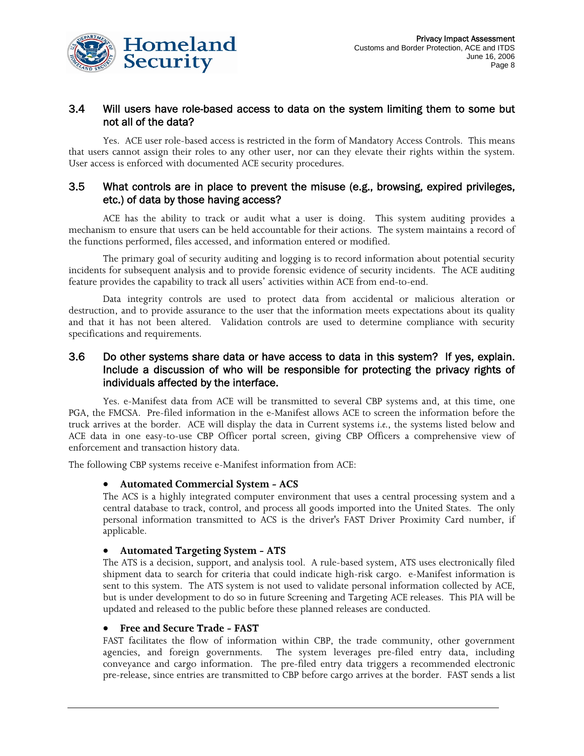

## 3.4 Will users have role-based access to data on the system limiting them to some but not all of the data?

Yes. ACE user role-based access is restricted in the form of Mandatory Access Controls. This means that users cannot assign their roles to any other user, nor can they elevate their rights within the system. User access is enforced with documented ACE security procedures.

#### 3.5 What controls are in place to prevent the misuse (e.g., browsing, expired privileges, etc.) of data by those having access?

ACE has the ability to track or audit what a user is doing. This system auditing provides a mechanism to ensure that users can be held accountable for their actions. The system maintains a record of the functions performed, files accessed, and information entered or modified.

The primary goal of security auditing and logging is to record information about potential security incidents for subsequent analysis and to provide forensic evidence of security incidents. The ACE auditing feature provides the capability to track all users' activities within ACE from end-to-end.

Data integrity controls are used to protect data from accidental or malicious alteration or destruction, and to provide assurance to the user that the information meets expectations about its quality and that it has not been altered. Validation controls are used to determine compliance with security specifications and requirements.

# 3.6 Do other systems share data or have access to data in this system? If yes, explain. Include a discussion of who will be responsible for protecting the privacy rights of individuals affected by the interface.

Yes. e-Manifest data from ACE will be transmitted to several CBP systems and, at this time, one PGA, the FMCSA. Pre-filed information in the e-Manifest allows ACE to screen the information before the truck arrives at the border. ACE will display the data in Current systems *i.e.*, the systems listed below and ACE data in one easy-to-use CBP Officer portal screen, giving CBP Officers a comprehensive view of enforcement and transaction history data.

The following CBP systems receive e-Manifest information from ACE:

#### • **Automated Commercial System - ACS**

The ACS is a highly integrated computer environment that uses a central processing system and a central database to track, control, and process all goods imported into the United States. The only personal information transmitted to ACS is the driver's FAST Driver Proximity Card number, if applicable.

#### • **Automated Targeting System - ATS**

The ATS is a decision, support, and analysis tool. A rule-based system, ATS uses electronically filed shipment data to search for criteria that could indicate high-risk cargo. e-Manifest information is sent to this system. The ATS system is not used to validate personal information collected by ACE, but is under development to do so in future Screening and Targeting ACE releases. This PIA will be updated and released to the public before these planned releases are conducted.

#### • **Free and Secure Trade - FAST**

FAST facilitates the flow of information within CBP, the trade community, other government agencies, and foreign governments. The system leverages pre-filed entry data, including conveyance and cargo information. The pre-filed entry data triggers a recommended electronic pre-release, since entries are transmitted to CBP before cargo arrives at the border. FAST sends a list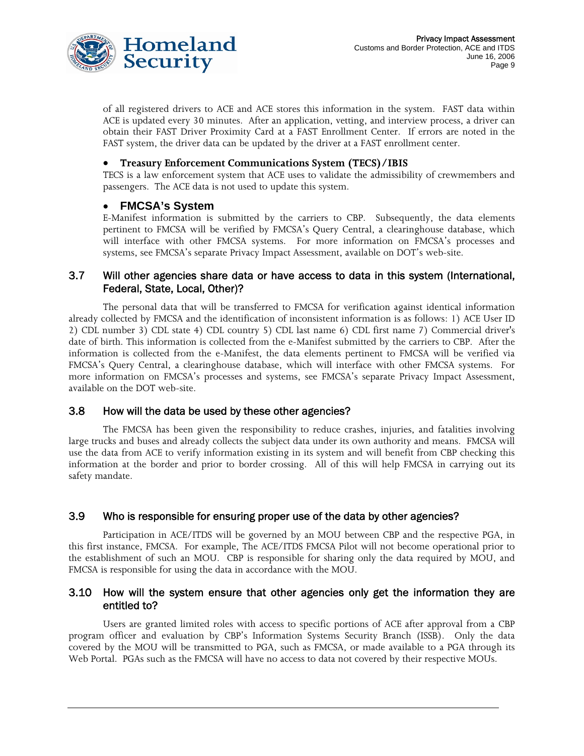

of all registered drivers to ACE and ACE stores this information in the system. FAST data within ACE is updated every 30 minutes. After an application, vetting, and interview process, a driver can obtain their FAST Driver Proximity Card at a FAST Enrollment Center. If errors are noted in the FAST system, the driver data can be updated by the driver at a FAST enrollment center.

#### • **Treasury Enforcement Communications System (TECS)/IBIS**

TECS is a law enforcement system that ACE uses to validate the admissibility of crewmembers and passengers. The ACE data is not used to update this system.

#### • **FMCSA's System**

E-Manifest information is submitted by the carriers to CBP. Subsequently, the data elements pertinent to FMCSA will be verified by FMCSA's Query Central, a clearinghouse database, which will interface with other FMCSA systems. For more information on FMCSA's processes and systems, see FMCSA's separate Privacy Impact Assessment, available on DOT's web-site.

# 3.7 Will other agencies share data or have access to data in this system (International, Federal, State, Local, Other)?

The personal data that will be transferred to FMCSA for verification against identical information already collected by FMCSA and the identification of inconsistent information is as follows: 1) ACE User ID 2) CDL number 3) CDL state 4) CDL country 5) CDL last name 6) CDL first name 7) Commercial driver's date of birth. This information is collected from the e-Manifest submitted by the carriers to CBP. After the information is collected from the e-Manifest, the data elements pertinent to FMCSA will be verified via FMCSA's Query Central, a clearinghouse database, which will interface with other FMCSA systems. For more information on FMCSA's processes and systems, see FMCSA's separate Privacy Impact Assessment, available on the DOT web-site.

#### 3.8 How will the data be used by these other agencies?

The FMCSA has been given the responsibility to reduce crashes, injuries, and fatalities involving large trucks and buses and already collects the subject data under its own authority and means. FMCSA will use the data from ACE to verify information existing in its system and will benefit from CBP checking this information at the border and prior to border crossing. All of this will help FMCSA in carrying out its safety mandate.

#### 3.9 Who is responsible for ensuring proper use of the data by other agencies?

Participation in ACE/ITDS will be governed by an MOU between CBP and the respective PGA, in this first instance, FMCSA. For example, The ACE/ITDS FMCSA Pilot will not become operational prior to the establishment of such an MOU. CBP is responsible for sharing only the data required by MOU, and FMCSA is responsible for using the data in accordance with the MOU.

#### 3.10 How will the system ensure that other agencies only get the information they are entitled to?

Users are granted limited roles with access to specific portions of ACE after approval from a CBP program officer and evaluation by CBP's Information Systems Security Branch (ISSB). Only the data covered by the MOU will be transmitted to PGA, such as FMCSA, or made available to a PGA through its Web Portal. PGAs such as the FMCSA will have no access to data not covered by their respective MOUs.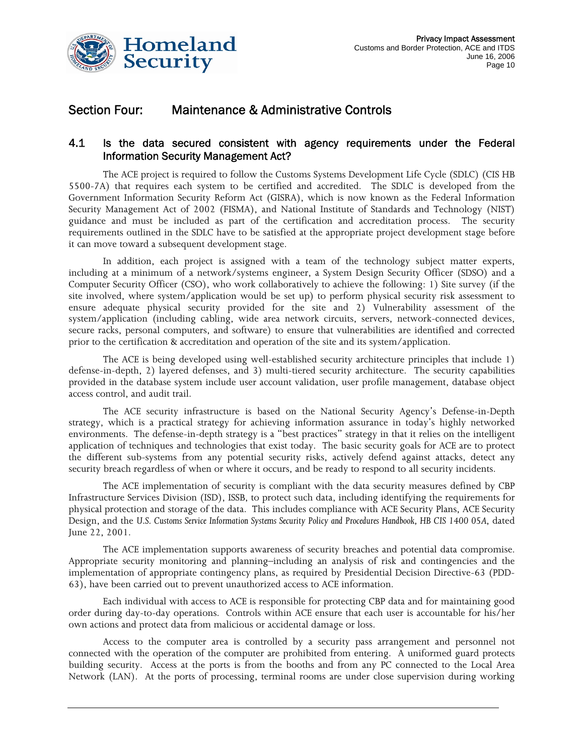

# Section Four: Maintenance & Administrative Controls

# 4.1 Is the data secured consistent with agency requirements under the Federal Information Security Management Act?

The ACE project is required to follow the Customs Systems Development Life Cycle (SDLC) (CIS HB 5500-7A) that requires each system to be certified and accredited. The SDLC is developed from the Government Information Security Reform Act (GISRA), which is now known as the Federal Information Security Management Act of 2002 (FISMA), and National Institute of Standards and Technology (NIST) guidance and must be included as part of the certification and accreditation process. The security requirements outlined in the SDLC have to be satisfied at the appropriate project development stage before it can move toward a subsequent development stage.

In addition, each project is assigned with a team of the technology subject matter experts, including at a minimum of a network/systems engineer, a System Design Security Officer (SDSO) and a Computer Security Officer (CSO), who work collaboratively to achieve the following: 1) Site survey (if the site involved, where system/application would be set up) to perform physical security risk assessment to ensure adequate physical security provided for the site and 2) Vulnerability assessment of the system/application (including cabling, wide area network circuits, servers, network-connected devices, secure racks, personal computers, and software) to ensure that vulnerabilities are identified and corrected prior to the certification & accreditation and operation of the site and its system/application.

The ACE is being developed using well-established security architecture principles that include 1) defense-in-depth, 2) layered defenses, and 3) multi-tiered security architecture. The security capabilities provided in the database system include user account validation, user profile management, database object access control, and audit trail.

The ACE security infrastructure is based on the National Security Agency's Defense-in-Depth strategy, which is a practical strategy for achieving information assurance in today's highly networked environments. The defense-in-depth strategy is a "best practices" strategy in that it relies on the intelligent application of techniques and technologies that exist today. The basic security goals for ACE are to protect the different sub-systems from any potential security risks, actively defend against attacks, detect any security breach regardless of when or where it occurs, and be ready to respond to all security incidents.

The ACE implementation of security is compliant with the data security measures defined by CBP Infrastructure Services Division (ISD), ISSB, to protect such data, including identifying the requirements for physical protection and storage of the data. This includes compliance with ACE Security Plans, ACE Security Design, and the *U.S. Customs Service Information Systems Security Policy and Procedures Handbook, HB CIS 1400 05A*, dated June 22, 2001.

The ACE implementation supports awareness of security breaches and potential data compromise. Appropriate security monitoring and planning–including an analysis of risk and contingencies and the implementation of appropriate contingency plans, as required by Presidential Decision Directive-63 (PDD-63), have been carried out to prevent unauthorized access to ACE information.

Each individual with access to ACE is responsible for protecting CBP data and for maintaining good order during day-to-day operations. Controls within ACE ensure that each user is accountable for his/her own actions and protect data from malicious or accidental damage or loss.

Access to the computer area is controlled by a security pass arrangement and personnel not connected with the operation of the computer are prohibited from entering. A uniformed guard protects building security. Access at the ports is from the booths and from any PC connected to the Local Area Network (LAN). At the ports of processing, terminal rooms are under close supervision during working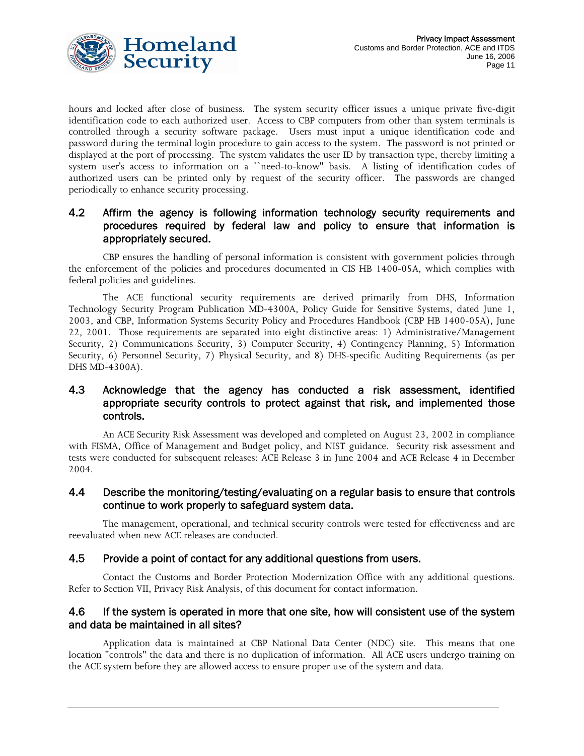

hours and locked after close of business. The system security officer issues a unique private five-digit identification code to each authorized user. Access to CBP computers from other than system terminals is controlled through a security software package. Users must input a unique identification code and password during the terminal login procedure to gain access to the system. The password is not printed or displayed at the port of processing. The system validates the user ID by transaction type, thereby limiting a system user's access to information on a ``need-to-know'' basis. A listing of identification codes of authorized users can be printed only by request of the security officer. The passwords are changed periodically to enhance security processing.

# 4.2 Affirm the agency is following information technology security requirements and procedures required by federal law and policy to ensure that information is appropriately secured.

CBP ensures the handling of personal information is consistent with government policies through the enforcement of the policies and procedures documented in CIS HB 1400-05A, which complies with federal policies and guidelines.

The ACE functional security requirements are derived primarily from DHS, Information Technology Security Program Publication MD-4300A, Policy Guide for Sensitive Systems, dated June 1, 2003, and CBP, Information Systems Security Policy and Procedures Handbook (CBP HB 1400-05A), June 22, 2001. Those requirements are separated into eight distinctive areas: 1) Administrative/Management Security, 2) Communications Security, 3) Computer Security, 4) Contingency Planning, 5) Information Security, 6) Personnel Security, 7) Physical Security, and 8) DHS-specific Auditing Requirements (as per DHS MD-4300A).

# 4.3 Acknowledge that the agency has conducted a risk assessment, identified appropriate security controls to protect against that risk, and implemented those controls.

An ACE Security Risk Assessment was developed and completed on August 23, 2002 in compliance with FISMA, Office of Management and Budget policy, and NIST guidance. Security risk assessment and tests were conducted for subsequent releases: ACE Release 3 in June 2004 and ACE Release 4 in December 2004.

#### 4.4 Describe the monitoring/testing/evaluating on a regular basis to ensure that controls continue to work properly to safeguard system data.

The management, operational, and technical security controls were tested for effectiveness and are reevaluated when new ACE releases are conducted.

#### 4.5 Provide a point of contact for any additional questions from users.

Contact the Customs and Border Protection Modernization Office with any additional questions. Refer to Section VII, Privacy Risk Analysis, of this document for contact information.

#### 4.6 If the system is operated in more that one site, how will consistent use of the system and data be maintained in all sites?

Application data is maintained at CBP National Data Center (NDC) site. This means that one location "controls" the data and there is no duplication of information. All ACE users undergo training on the ACE system before they are allowed access to ensure proper use of the system and data.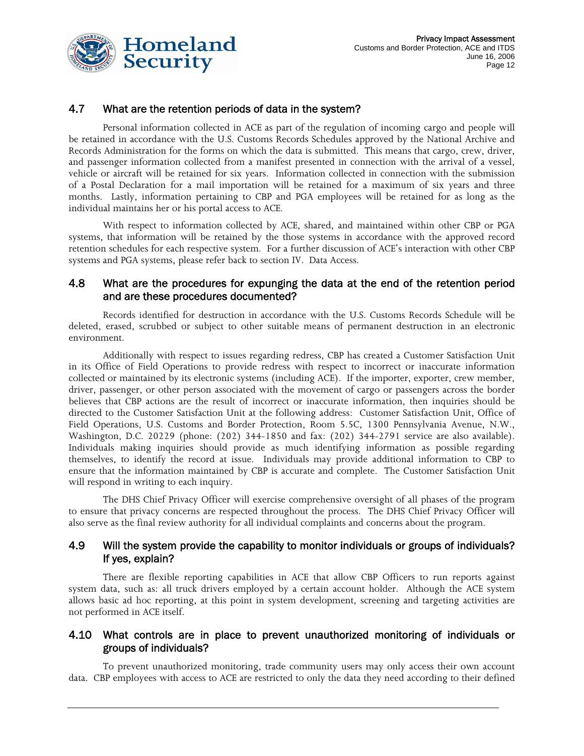

# 4.7 What are the retention periods of data in the system?

Personal information collected in ACE as part of the regulation of incoming cargo and people will be retained in accordance with the U.S. Customs Records Schedules approved by the National Archive and Records Administration for the forms on which the data is submitted. This means that cargo, crew, driver, and passenger information collected from a manifest presented in connection with the arrival of a vessel, vehicle or aircraft will be retained for six years. Information collected in connection with the submission of a Postal Declaration for a mail importation will be retained for a maximum of six years and three months. Lastly, information pertaining to CBP and PGA employees will be retained for as long as the individual maintains her or his portal access to ACE.

With respect to information collected by ACE, shared, and maintained within other CBP or PGA systems, that information will be retained by the those systems in accordance with the approved record retention schedules for each respective system. For a further discussion of ACE's interaction with other CBP systems and PGA systems, please refer back to section IV. Data Access.

#### 4.8 What are the procedures for expunging the data at the end of the retention period and are these procedures documented?

Records identified for destruction in accordance with the U.S. Customs Records Schedule will be deleted, erased, scrubbed or subject to other suitable means of permanent destruction in an electronic environment.

Additionally with respect to issues regarding redress, CBP has created a Customer Satisfaction Unit in its Office of Field Operations to provide redress with respect to incorrect or inaccurate information collected or maintained by its electronic systems (including ACE). If the importer, exporter, crew member, driver, passenger, or other person associated with the movement of cargo or passengers across the border believes that CBP actions are the result of incorrect or inaccurate information, then inquiries should be directed to the Customer Satisfaction Unit at the following address: Customer Satisfaction Unit, Office of Field Operations, U.S. Customs and Border Protection, Room 5.5C, 1300 Pennsylvania Avenue, N.W., Washington, D.C. 20229 (phone: (202) 344-1850 and fax: (202) 344-2791 service are also available). Individuals making inquiries should provide as much identifying information as possible regarding themselves, to identify the record at issue. Individuals may provide additional information to CBP to ensure that the information maintained by CBP is accurate and complete. The Customer Satisfaction Unit will respond in writing to each inquiry.

The DHS Chief Privacy Officer will exercise comprehensive oversight of all phases of the program to ensure that privacy concerns are respected throughout the process. The DHS Chief Privacy Officer will also serve as the final review authority for all individual complaints and concerns about the program.

#### 4.9 Will the system provide the capability to monitor individuals or groups of individuals? If yes, explain?

There are flexible reporting capabilities in ACE that allow CBP Officers to run reports against system data, such as: all truck drivers employed by a certain account holder. Although the ACE system allows basic ad hoc reporting, at this point in system development, screening and targeting activities are not performed in ACE itself.

### 4.10 What controls are in place to prevent unauthorized monitoring of individuals or groups of individuals?

To prevent unauthorized monitoring, trade community users may only access their own account data. CBP employees with access to ACE are restricted to only the data they need according to their defined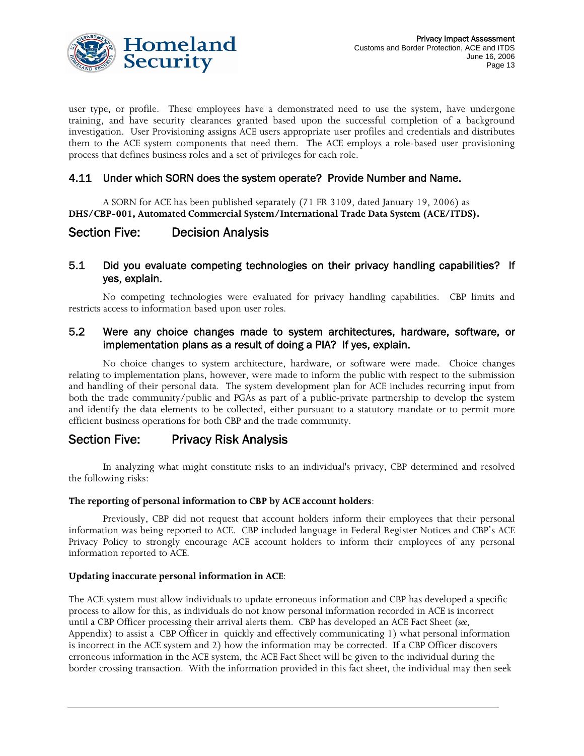

user type, or profile. These employees have a demonstrated need to use the system, have undergone training, and have security clearances granted based upon the successful completion of a background investigation. User Provisioning assigns ACE users appropriate user profiles and credentials and distributes them to the ACE system components that need them. The ACE employs a role-based user provisioning process that defines business roles and a set of privileges for each role.

## 4.11 Under which SORN does the system operate? Provide Number and Name.

A SORN for ACE has been published separately (71 FR 3109, dated January 19, 2006) as **DHS/CBP-001, Automated Commercial System/International Trade Data System (ACE/ITDS).**

# Section Five: Decision Analysis

## 5.1 Did you evaluate competing technologies on their privacy handling capabilities? If yes, explain.

No competing technologies were evaluated for privacy handling capabilities. CBP limits and restricts access to information based upon user roles.

#### 5.2 Were any choice changes made to system architectures, hardware, software, or implementation plans as a result of doing a PIA? If yes, explain.

No choice changes to system architecture, hardware, or software were made. Choice changes relating to implementation plans, however, were made to inform the public with respect to the submission and handling of their personal data. The system development plan for ACE includes recurring input from both the trade community/public and PGAs as part of a public-private partnership to develop the system and identify the data elements to be collected, either pursuant to a statutory mandate or to permit more efficient business operations for both CBP and the trade community.

# Section Five: Privacy Risk Analysis

In analyzing what might constitute risks to an individual's privacy, CBP determined and resolved the following risks:

#### **The reporting of personal information to CBP by ACE account holders**:

Previously, CBP did not request that account holders inform their employees that their personal information was being reported to ACE. CBP included language in Federal Register Notices and CBP's ACE Privacy Policy to strongly encourage ACE account holders to inform their employees of any personal information reported to ACE.

#### **Updating inaccurate personal information in ACE**:

The ACE system must allow individuals to update erroneous information and CBP has developed a specific process to allow for this, as individuals do not know personal information recorded in ACE is incorrect until a CBP Officer processing their arrival alerts them. CBP has developed an ACE Fact Sheet (*see*, Appendix) to assist a CBP Officer in quickly and effectively communicating 1) what personal information is incorrect in the ACE system and 2) how the information may be corrected. If a CBP Officer discovers erroneous information in the ACE system, the ACE Fact Sheet will be given to the individual during the border crossing transaction. With the information provided in this fact sheet, the individual may then seek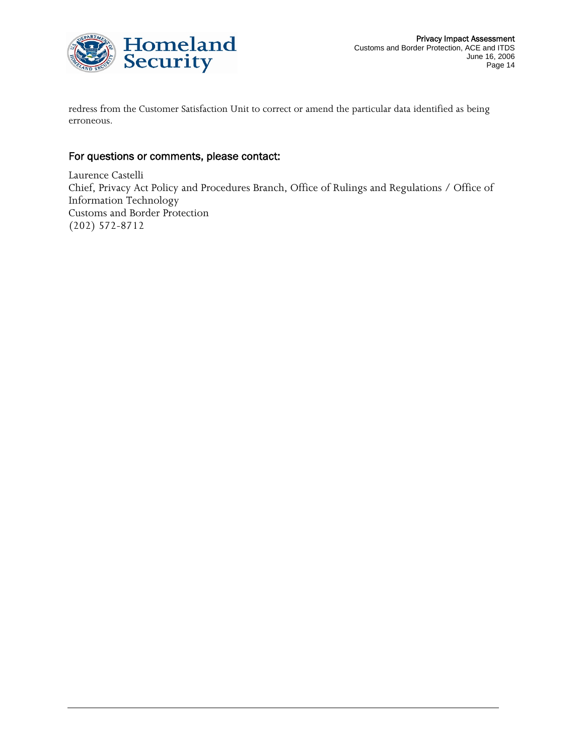

redress from the Customer Satisfaction Unit to correct or amend the particular data identified as being erroneous.

# For questions or comments, please contact:

Laurence Castelli Chief, Privacy Act Policy and Procedures Branch, Office of Rulings and Regulations / Office of Information Technology Customs and Border Protection (202) 572-8712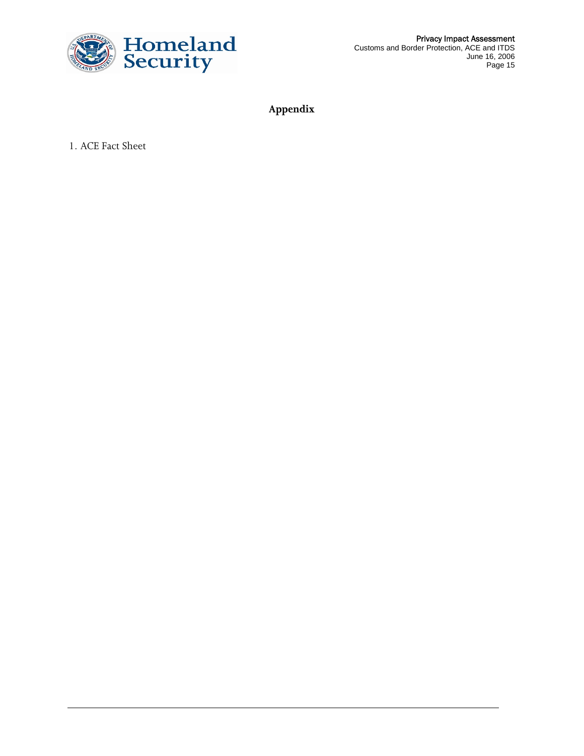

Privacy Impact Assessment Customs and Border Protection, ACE and ITDS June 16, 2006 Page 15

**Appendix** 

1. ACE Fact Sheet